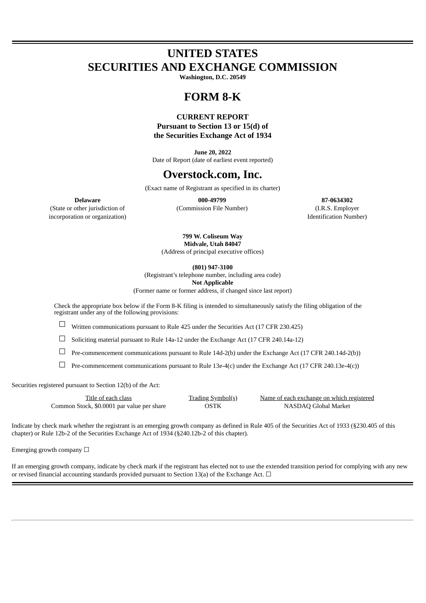# **UNITED STATES SECURITIES AND EXCHANGE COMMISSION**

**Washington, D.C. 20549**

# **FORM 8-K**

### **CURRENT REPORT Pursuant to Section 13 or 15(d) of the Securities Exchange Act of 1934**

**June 20, 2022** Date of Report (date of earliest event reported)

# **Overstock.com, Inc.**

(Exact name of Registrant as specified in its charter)

(State or other jurisdiction of (Commission File Number) (I.R.S. Employer incorporation or organization and the set of the set of the set of the set of the set of the set of the set of the set of the set of the set of the set of the set of the set of the set of the set of the set of the set of t

**Delaware 000-49799 87-0634302**

**799 W. Coliseum Way Midvale, Utah 84047** (Address of principal executive offices)

**(801) 947-3100**

(Registrant's telephone number, including area code)

**Not Applicable**

(Former name or former address, if changed since last report)

Check the appropriate box below if the Form 8-K filing is intended to simultaneously satisfy the filing obligation of the registrant under any of the following provisions:

 $\Box$  Written communications pursuant to Rule 425 under the Securities Act (17 CFR 230.425)

 $\Box$  Soliciting material pursuant to Rule 14a-12 under the Exchange Act (17 CFR 240.14a-12)

☐ Pre-commencement communications pursuant to Rule 14d-2(b) under the Exchange Act (17 CFR 240.14d-2(b))

 $\Box$  Pre-commencement communications pursuant to Rule 13e-4(c) under the Exchange Act (17 CFR 240.13e-4(c))

Securities registered pursuant to Section 12(b) of the Act:

| Title of each class                        | <b>Trading Symbol(s)</b> | Name of each exchange on which registered |
|--------------------------------------------|--------------------------|-------------------------------------------|
| Common Stock, \$0.0001 par value per share | OSTK                     | NASDAQ Global Market                      |

Indicate by check mark whether the registrant is an emerging growth company as defined in Rule 405 of the Securities Act of 1933 (§230.405 of this chapter) or Rule 12b-2 of the Securities Exchange Act of 1934 (§240.12b-2 of this chapter).

Emerging growth company  $\Box$ 

If an emerging growth company, indicate by check mark if the registrant has elected not to use the extended transition period for complying with any new or revised financial accounting standards provided pursuant to Section 13(a) of the Exchange Act.  $\Box$